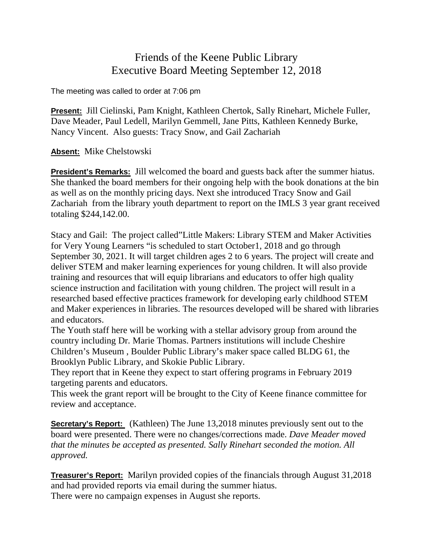## Friends of the Keene Public Library Executive Board Meeting September 12, 2018

The meeting was called to order at 7:06 pm

**Present:** Jill Cielinski, Pam Knight, Kathleen Chertok, Sally Rinehart, Michele Fuller, Dave Meader, Paul Ledell, Marilyn Gemmell, Jane Pitts, Kathleen Kennedy Burke, Nancy Vincent. Also guests: Tracy Snow, and Gail Zachariah

**Absent:** Mike Chelstowski

**President's Remarks:** Jill welcomed the board and guests back after the summer hiatus. She thanked the board members for their ongoing help with the book donations at the bin as well as on the monthly pricing days. Next she introduced Tracy Snow and Gail Zachariah from the library youth department to report on the IMLS 3 year grant received totaling \$244,142.00.

Stacy and Gail: The project called"Little Makers: Library STEM and Maker Activities for Very Young Learners "is scheduled to start October1, 2018 and go through September 30, 2021. It will target children ages 2 to 6 years. The project will create and deliver STEM and maker learning experiences for young children. It will also provide training and resources that will equip librarians and educators to offer high quality science instruction and facilitation with young children. The project will result in a researched based effective practices framework for developing early childhood STEM and Maker experiences in libraries. The resources developed will be shared with libraries and educators.

The Youth staff here will be working with a stellar advisory group from around the country including Dr. Marie Thomas. Partners institutions will include Cheshire Children's Museum , Boulder Public Library's maker space called BLDG 61, the Brooklyn Public Library, and Skokie Public Library.

They report that in Keene they expect to start offering programs in February 2019 targeting parents and educators.

This week the grant report will be brought to the City of Keene finance committee for review and acceptance.

**Secretary's Report:** (Kathleen) The June 13,2018 minutes previously sent out to the board were presented. There were no changes/corrections made. *Dave Meader moved that the minutes be accepted as presented. Sally Rinehart seconded the motion. All approved.*

**Treasurer's Report:** Marilyn provided copies of the financials through August 31,2018 and had provided reports via email during the summer hiatus. There were no campaign expenses in August she reports.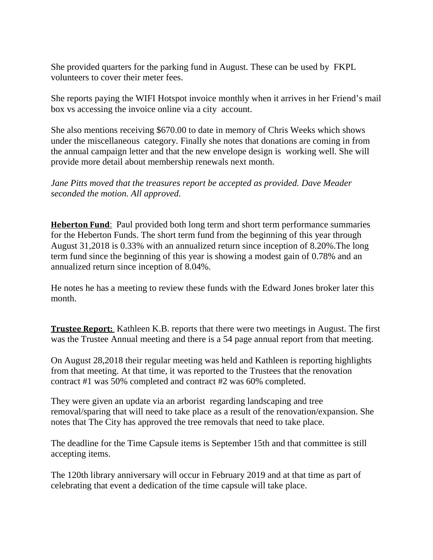She provided quarters for the parking fund in August. These can be used by FKPL volunteers to cover their meter fees.

She reports paying the WIFI Hotspot invoice monthly when it arrives in her Friend's mail box vs accessing the invoice online via a city account.

She also mentions receiving \$670.00 to date in memory of Chris Weeks which shows under the miscellaneous category. Finally she notes that donations are coming in from the annual campaign letter and that the new envelope design is working well. She will provide more detail about membership renewals next month.

*Jane Pitts moved that the treasures report be accepted as provided. Dave Meader seconded the motion. All approved.*

**Heberton Fund**: Paul provided both long term and short term performance summaries for the Heberton Funds. The short term fund from the beginning of this year through August 31,2018 is 0.33% with an annualized return since inception of 8.20%.The long term fund since the beginning of this year is showing a modest gain of 0.78% and an annualized return since inception of 8.04%.

He notes he has a meeting to review these funds with the Edward Jones broker later this month.

**Trustee Report:** Kathleen K.B. reports that there were two meetings in August. The first was the Trustee Annual meeting and there is a 54 page annual report from that meeting.

On August 28,2018 their regular meeting was held and Kathleen is reporting highlights from that meeting. At that time, it was reported to the Trustees that the renovation contract #1 was 50% completed and contract #2 was 60% completed.

They were given an update via an arborist regarding landscaping and tree removal/sparing that will need to take place as a result of the renovation/expansion. She notes that The City has approved the tree removals that need to take place.

The deadline for the Time Capsule items is September 15th and that committee is still accepting items.

The 120th library anniversary will occur in February 2019 and at that time as part of celebrating that event a dedication of the time capsule will take place.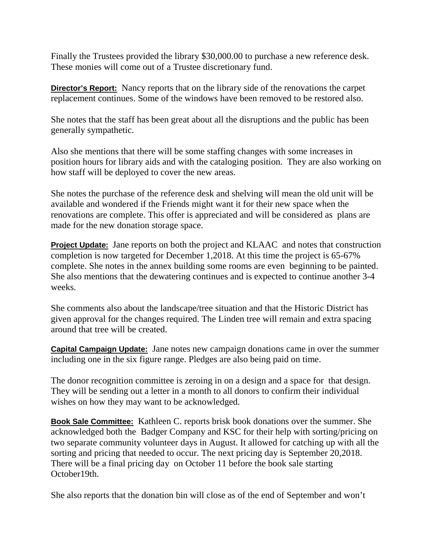Finally the Trustees provided the library \$30,000.00 to purchase a new reference desk. These monies will come out of a Trustee discretionary fund.

**Director's Report:** Nancy reports that on the library side of the renovations the carpet replacement continues. Some of the windows have been removed to be restored also.

She notes that the staff has been great about all the disruptions and the public has been generally sympathetic.

Also she mentions that there will be some staffing changes with some increases in position hours for library aids and with the cataloging position. They are also working on how staff will be deployed to cover the new areas.

She notes the purchase of the reference desk and shelving will mean the old unit will be available and wondered if the Friends might want it for their new space when the renovations are complete. This offer is appreciated and will be considered as plans are made for the new donation storage space.

**Project Update:** Jane reports on both the project and KLAAC and notes that construction completion is now targeted for December 1,2018. At this time the project is 65-67% complete. She notes in the annex building some rooms are even beginning to be painted. She also mentions that the dewatering continues and is expected to continue another 3-4 weeks.

She comments also about the landscape/tree situation and that the Historic District has given approval for the changes required. The Linden tree will remain and extra spacing around that tree will be created.

**Capital Campaign Update:** Jane notes new campaign donations came in over the summer including one in the six figure range. Pledges are also being paid on time.

The donor recognition committee is zeroing in on a design and a space for that design. They will be sending out a letter in a month to all donors to confirm their individual wishes on how they may want to be acknowledged.

**Book Sale Committee:** Kathleen C. reports brisk book donations over the summer. She acknowledged both the Badger Company and KSC for their help with sorting/pricing on two separate community volunteer days in August. It allowed for catching up with all the sorting and pricing that needed to occur. The next pricing day is September 20,2018. There will be a final pricing day on October 11 before the book sale starting October19th.

She also reports that the donation bin will close as of the end of September and won't